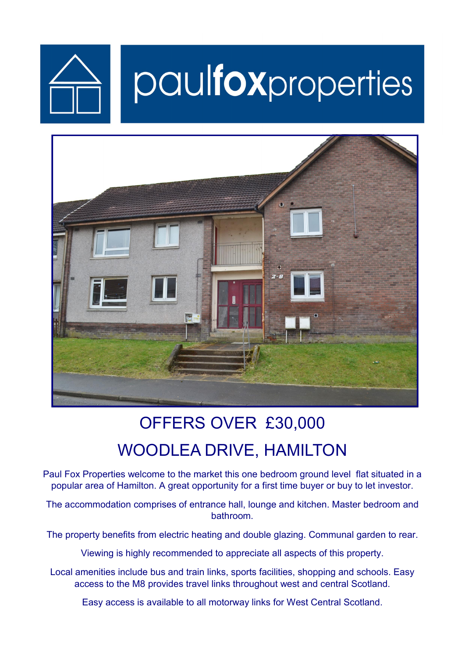

# paulfoxproperties



## OFFERS OVER £30,000 WOODLEA DRIVE, HAMILTON

Paul Fox Properties welcome to the market this one bedroom ground level flat situated in a popular area of Hamilton. A great opportunity for a first time buyer or buy to let investor.

The accommodation comprises of entrance hall, lounge and kitchen. Master bedroom and bathroom.

The property benefits from electric heating and double glazing. Communal garden to rear.

Viewing is highly recommended to appreciate all aspects of this property.

Local amenities include bus and train links, sports facilities, shopping and schools. Easy access to the M8 provides travel links throughout west and central Scotland.

Easy access is available to all motorway links for West Central Scotland.